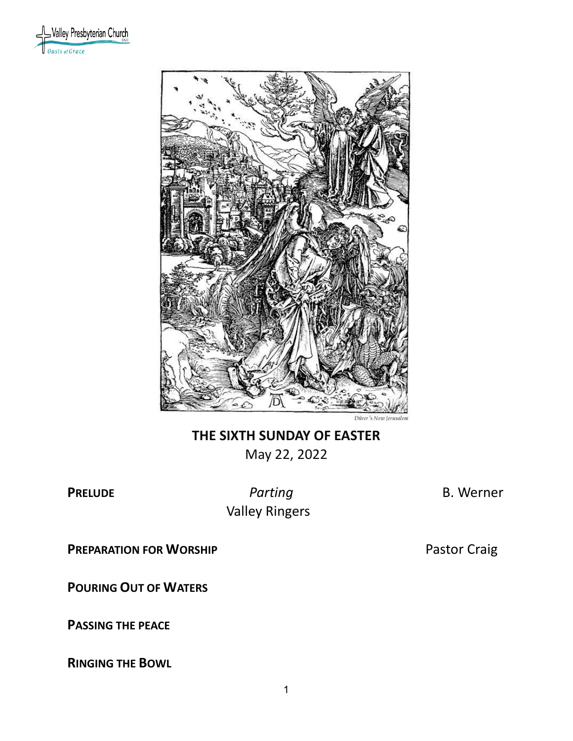



# **THE SIXTH SUNDAY OF EASTER** May 22, 2022

**PRELUDE** *Parting* **B. Werner Valley Ringers** 

**PREPARATION FOR WORSHIP PASTON FOR WORSHIP P**astor Craig

**POURING OUT OF WATERS**

**PASSING THE PEACE**

**RINGING THE BOWL**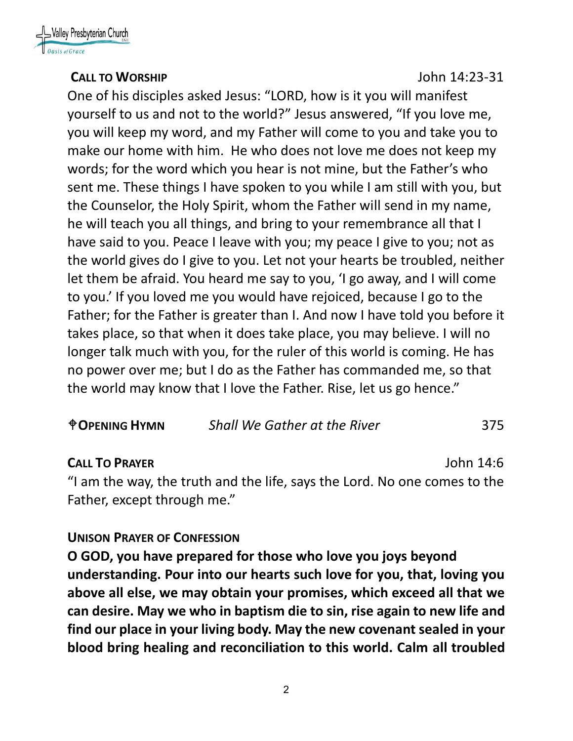

#### **CALL TO WORSHIP** John 14:23-31

One of his disciples asked Jesus: "LORD, how is it you will manifest yourself to us and not to the world?" Jesus answered, "If you love me, you will keep my word, and my Father will come to you and take you to make our home with him. He who does not love me does not keep my words; for the word which you hear is not mine, but the Father's who sent me. These things I have spoken to you while I am still with you, but the Counselor, the Holy Spirit, whom the Father will send in my name, he will teach you all things, and bring to your remembrance all that I have said to you. Peace I leave with you; my peace I give to you; not as the world gives do I give to you. Let not your hearts be troubled, neither let them be afraid. You heard me say to you, 'I go away, and I will come to you.' If you loved me you would have rejoiced, because I go to the Father; for the Father is greater than I. And now I have told you before it takes place, so that when it does take place, you may believe. I will no longer talk much with you, for the ruler of this world is coming. He has no power over me; but I do as the Father has commanded me, so that the world may know that I love the Father. Rise, let us go hence."

| <b><i><u>OPENING HYMN</u></i></b> | <b>Shall We Gather at the River</b> | 375 |
|-----------------------------------|-------------------------------------|-----|
|-----------------------------------|-------------------------------------|-----|

## **CALL TO PRAYER** John 14:6

"I am the way, the truth and the life, says the Lord. No one comes to the Father, except through me."

## **UNISON PRAYER OF CONFESSION**

**O GOD, you have prepared for those who love you joys beyond understanding. Pour into our hearts such love for you, that, loving you above all else, we may obtain your promises, which exceed all that we can desire. May we who in baptism die to sin, rise again to new life and find our place in your living body. May the new covenant sealed in your blood bring healing and reconciliation to this world. Calm all troubled**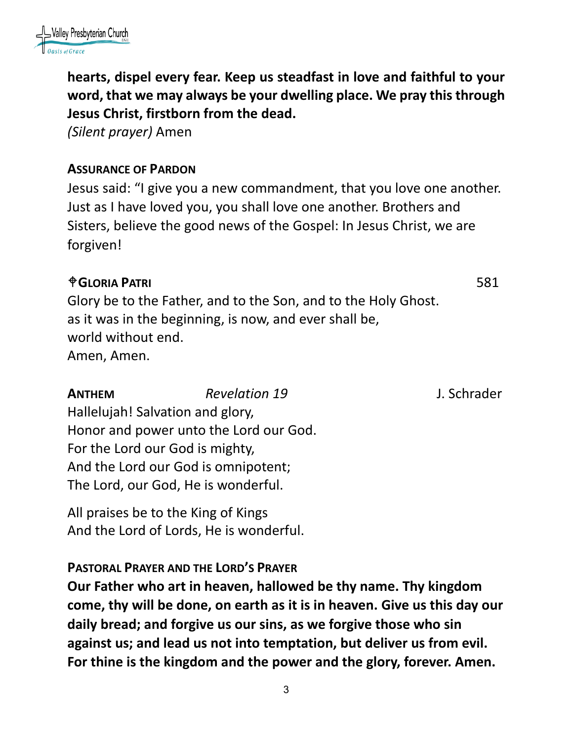

**hearts, dispel every fear. Keep us steadfast in love and faithful to your word, that we may always be your dwelling place. We pray this through Jesus Christ, firstborn from the dead.**

*(Silent prayer)* Amen

#### **ASSURANCE OF PARDON**

Jesus said: "I give you a new commandment, that you love one another. Just as I have loved you, you shall love one another. Brothers and Sisters, believe the good news of the Gospel: In Jesus Christ, we are forgiven!

#### **GLORIA PATRI** 581

Glory be to the Father, and to the Son, and to the Holy Ghost. as it was in the beginning, is now, and ever shall be, world without end. Amen, Amen.

**ANTHEM** *Revelation 19* J. Schrader

Hallelujah! Salvation and glory, Honor and power unto the Lord our God. For the Lord our God is mighty, And the Lord our God is omnipotent; The Lord, our God, He is wonderful.

All praises be to the King of Kings And the Lord of Lords, He is wonderful.

**PASTORAL PRAYER AND THE LORD'S PRAYER**

**Our Father who art in heaven, hallowed be thy name. Thy kingdom come, thy will be done, on earth as it is in heaven. Give us this day our daily bread; and forgive us our sins, as we forgive those who sin against us; and lead us not into temptation, but deliver us from evil. For thine is the kingdom and the power and the glory, forever. Amen.**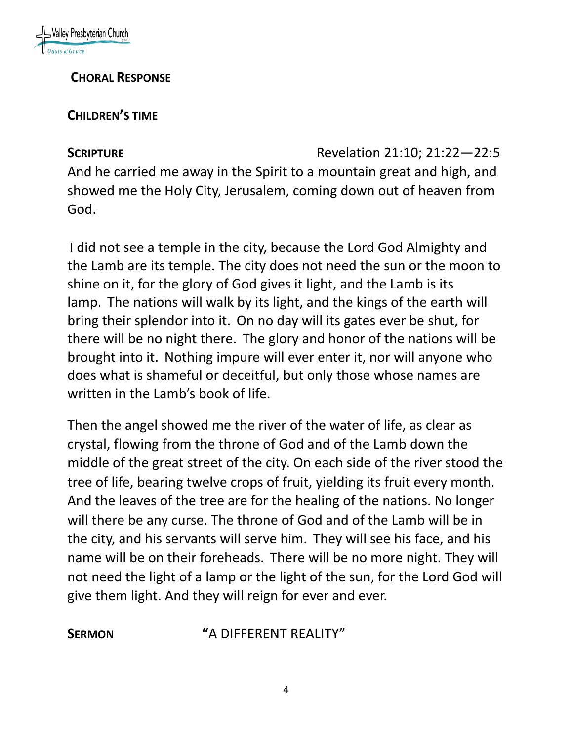

#### **CHORAL RESPONSE**

#### **CHILDREN'S TIME**

**SCRIPTURE** Revelation 21:10; 21:22—22:5

And he carried me away in the Spirit to a mountain great and high, and showed me the Holy City, Jerusalem, coming down out of heaven from God.

I did not see a temple in the city, because the Lord God Almighty and the Lamb are its temple. The city does not need the sun or the moon to shine on it, for the glory of God gives it light, and the Lamb is its lamp. The nations will walk by its light, and the kings of the earth will bring their splendor into it. On no day will its gates ever be shut, for there will be no night there. The glory and honor of the nations will be brought into it. Nothing impure will ever enter it, nor will anyone who does what is shameful or deceitful, but only those whose names are written in the Lamb's book of life.

Then the angel showed me the river of the water of life, as clear as crystal, flowing from the throne of God and of the Lamb down the middle of the great street of the city. On each side of the river stood the tree of life, bearing twelve crops of fruit, yielding its fruit every month. And the leaves of the tree are for the healing of the nations. No longer will there be any curse. The throne of God and of the Lamb will be in the city, and his servants will serve him. They will see his face, and his name will be on their foreheads. There will be no more night. They will not need the light of a lamp or the light of the sun, for the Lord God will give them light. And they will reign for ever and ever.

**SERMON "**A DIFFERENT REALITY"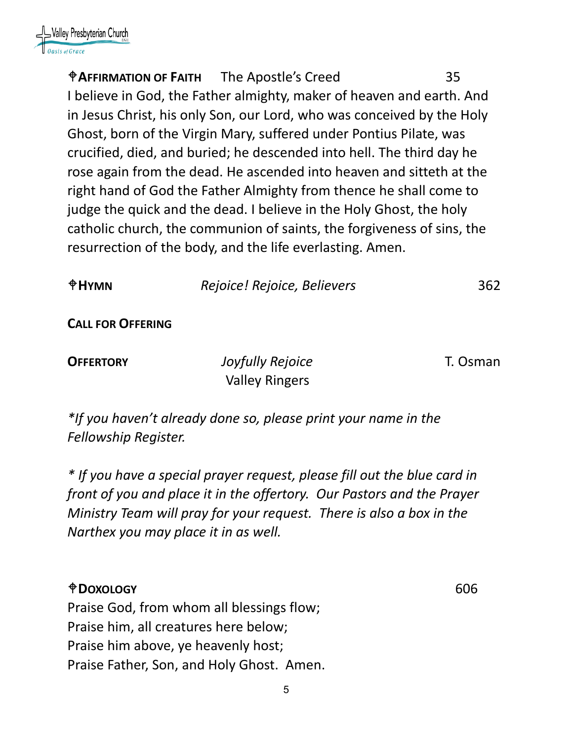

**AFFIRMATION OF FAITH** The Apostle's Creed 35 I believe in God, the Father almighty, maker of heaven and earth. And in Jesus Christ, his only Son, our Lord, who was conceived by the Holy Ghost, born of the Virgin Mary, suffered under Pontius Pilate, was crucified, died, and buried; he descended into hell. The third day he rose again from the dead. He ascended into heaven and sitteth at the right hand of God the Father Almighty from thence he shall come to judge the quick and the dead. I believe in the Holy Ghost, the holy catholic church, the communion of saints, the forgiveness of sins, the resurrection of the body, and the life everlasting. Amen.

| $\mathbf{H}$ YMN         | Rejoice! Rejoice, Believers | 362 |
|--------------------------|-----------------------------|-----|
| <b>CALL FOR OFFERING</b> |                             |     |

**OFFERTORY** *Joyfully Rejoice* T. Osman Valley Ringers

*\*If you haven't already done so, please print your name in the Fellowship Register.*

*\* If you have a special prayer request, please fill out the blue card in front of you and place it in the offertory. Our Pastors and the Prayer Ministry Team will pray for your request. There is also a box in the Narthex you may place it in as well.*

#### **DOXOLOGY** 606

Praise God, from whom all blessings flow; Praise him, all creatures here below; Praise him above, ye heavenly host; Praise Father, Son, and Holy Ghost. Amen.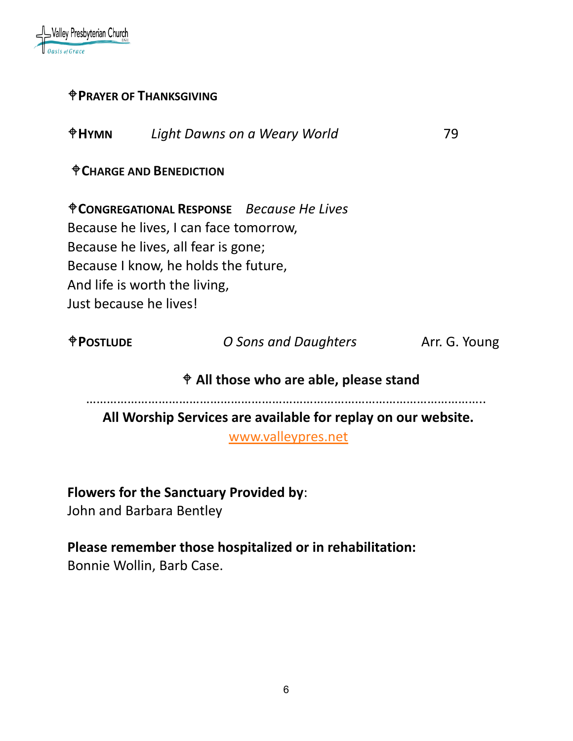

#### **PRAYER OF THANKSGIVING**

| <b><i><u>OHYMN</u></i></b> | Light Dawns on a Weary World | 79 |
|----------------------------|------------------------------|----|
|                            |                              |    |

**CHARGE AND BENEDICTION**

**CONGREGATIONAL RESPONSE** *Because He Lives* Because he lives, I can face tomorrow, Because he lives, all fear is gone; Because I know, he holds the future, And life is worth the living, Just because he lives!

| <b><i><u>OPOSTLUDE</u></i></b> | O Sons and Daughters | Arr. G. Young |
|--------------------------------|----------------------|---------------|
|                                |                      |               |

## **All those who are able, please stand**

……………………………………………………………………………………………………..

**All Worship Services are available for replay on our website.** 

[www.valleypres.net](http://www.valleypres.net/)

#### **Flowers for the Sanctuary Provided by**:

John and Barbara Bentley

#### **Please remember those hospitalized or in rehabilitation:**

Bonnie Wollin, Barb Case.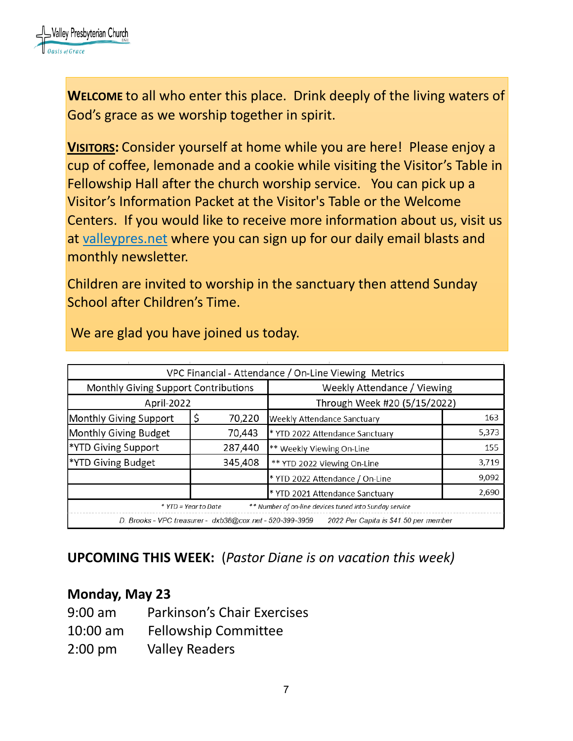

**WELCOME** to all who enter this place. Drink deeply of the living waters of God's grace as we worship together in spirit.

**VISITORS:** Consider yourself at home while you are here! Please enjoy a cup of coffee, lemonade and a cookie while visiting the Visitor's Table in Fellowship Hall after the church worship service. You can pick up a Visitor's Information Packet at the Visitor's Table or the Welcome Centers. If you would like to receive more information about us, visit us at [valleypres.net](http://valleypres.net/) where you can sign up for our daily email blasts and monthly newsletter.

Children are invited to worship in the sanctuary then attend Sunday School after Children's Time.

|                                      |                                                          | VPC Financial - Attendance / On-Line Viewing Metrics   |       |
|--------------------------------------|----------------------------------------------------------|--------------------------------------------------------|-------|
| Monthly Giving Support Contributions |                                                          | Weekly Attendance / Viewing                            |       |
| April-2022                           |                                                          | Through Week #20 (5/15/2022)                           |       |
| Monthly Giving Support               | 70,220                                                   | Weekly Attendance Sanctuary                            | 163   |
| Monthly Giving Budget                | 70,443                                                   | * YTD 2022 Attendance Sanctuary                        | 5,373 |
| *YTD Giving Support                  | 287,440                                                  | ** Weekly Viewing On-Line                              | 155   |
| *YTD Giving Budget                   | 345,408                                                  | ** YTD 2022 Viewing On-Line                            | 3,719 |
|                                      |                                                          | * YTD 2022 Attendance / On-Line                        | 9,092 |
|                                      |                                                          | * YTD 2021 Attendance Sanctuary                        | 2,690 |
|                                      | * YTD = Year to Date                                     | ** Number of on-line devices tuned into Sunday service |       |
|                                      | D. Brooks - VPC treasurer - dxb38@cox.net - 520-399-3959 | 2022 Per Capita is \$41.50 per member                  |       |

We are glad you have joined us today.

# **UPCOMING THIS WEEK:** (*Pastor Diane is on vacation this week)*

#### **Monday, May 23**

- 9:00 am Parkinson's Chair Exercises
- 10:00 am Fellowship Committee
- 2:00 pm Valley Readers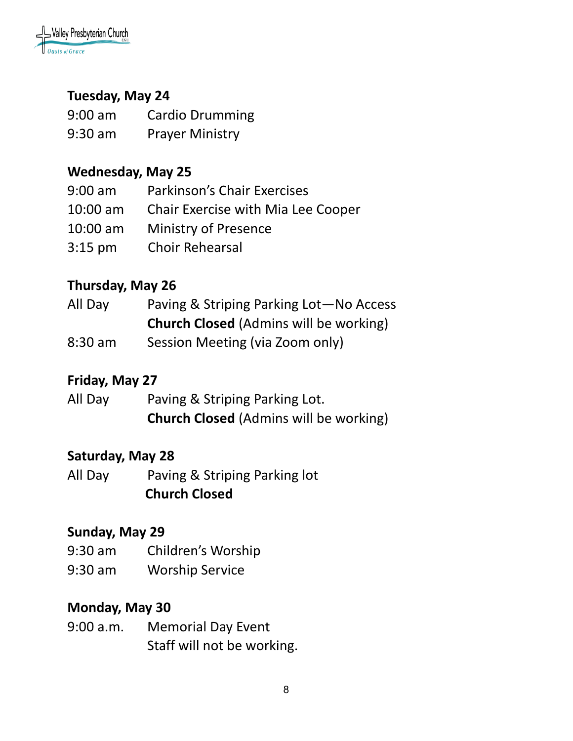

## **Tuesday, May 24**

| $9:00$ am | <b>Cardio Drumming</b> |
|-----------|------------------------|
| $9:30$ am | <b>Prayer Ministry</b> |

### **Wednesday, May 25**

| $9:00$ am  | Parkinson's Chair Exercises        |
|------------|------------------------------------|
| $10:00$ am | Chair Exercise with Mia Lee Cooper |
| $10:00$ am | <b>Ministry of Presence</b>        |
| $3:15$ pm  | <b>Choir Rehearsal</b>             |

### **Thursday, May 26**

| All Day   | Paving & Striping Parking Lot-No Access       |
|-----------|-----------------------------------------------|
|           | <b>Church Closed</b> (Admins will be working) |
| $8:30$ am | Session Meeting (via Zoom only)               |

## **Friday, May 27**

| All Day | Paving & Striping Parking Lot.                |
|---------|-----------------------------------------------|
|         | <b>Church Closed (Admins will be working)</b> |

#### **Saturday, May 28**

All Day Paving & Striping Parking lot  **Church Closed** 

#### **Sunday, May 29**

- 9:30 am Children's Worship
- 9:30 am Worship Service

### **Monday, May 30**

9:00 a.m. Memorial Day Event Staff will not be working.